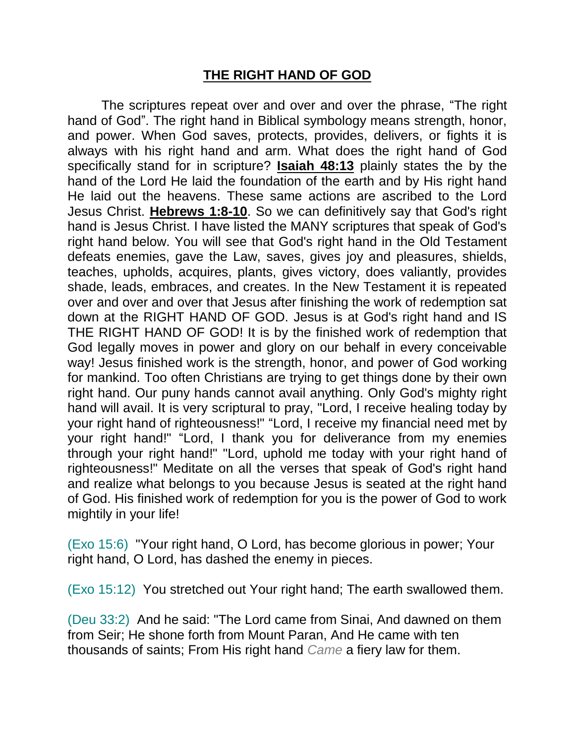## **THE RIGHT HAND OF GOD**

The scriptures repeat over and over and over the phrase, "The right hand of God". The right hand in Biblical symbology means strength, honor, and power. When God saves, protects, provides, delivers, or fights it is always with his right hand and arm. What does the right hand of God specifically stand for in scripture? **Isaiah 48:13** plainly states the by the hand of the Lord He laid the foundation of the earth and by His right hand He laid out the heavens. These same actions are ascribed to the Lord Jesus Christ. **Hebrews 1:8-10**. So we can definitively say that God's right hand is Jesus Christ. I have listed the MANY scriptures that speak of God's right hand below. You will see that God's right hand in the Old Testament defeats enemies, gave the Law, saves, gives joy and pleasures, shields, teaches, upholds, acquires, plants, gives victory, does valiantly, provides shade, leads, embraces, and creates. In the New Testament it is repeated over and over and over that Jesus after finishing the work of redemption sat down at the RIGHT HAND OF GOD. Jesus is at God's right hand and IS THE RIGHT HAND OF GOD! It is by the finished work of redemption that God legally moves in power and glory on our behalf in every conceivable way! Jesus finished work is the strength, honor, and power of God working for mankind. Too often Christians are trying to get things done by their own right hand. Our puny hands cannot avail anything. Only God's mighty right hand will avail. It is very scriptural to pray, "Lord, I receive healing today by your right hand of righteousness!" "Lord, I receive my financial need met by your right hand!" "Lord, I thank you for deliverance from my enemies through your right hand!" "Lord, uphold me today with your right hand of righteousness!" Meditate on all the verses that speak of God's right hand and realize what belongs to you because Jesus is seated at the right hand of God. His finished work of redemption for you is the power of God to work mightily in your life!

(Exo 15:6) "Your right hand, O Lord, has become glorious in power; Your right hand, O Lord, has dashed the enemy in pieces.

(Exo 15:12) You stretched out Your right hand; The earth swallowed them.

(Deu 33:2) And he said: "The Lord came from Sinai, And dawned on them from Seir; He shone forth from Mount Paran, And He came with ten thousands of saints; From His right hand *Came* a fiery law for them.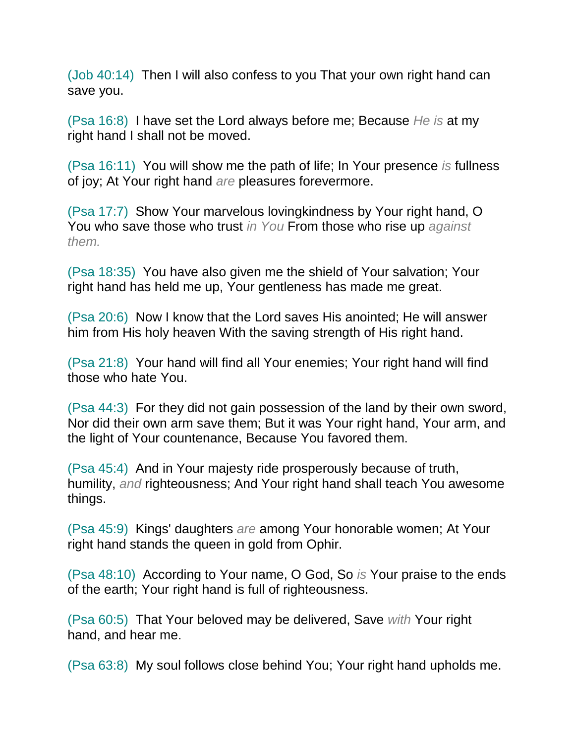(Job 40:14) Then I will also confess to you That your own right hand can save you.

(Psa 16:8) I have set the Lord always before me; Because *He is* at my right hand I shall not be moved.

(Psa 16:11) You will show me the path of life; In Your presence *is* fullness of joy; At Your right hand *are* pleasures forevermore.

(Psa 17:7) Show Your marvelous lovingkindness by Your right hand, O You who save those who trust *in You* From those who rise up *against them.*

(Psa 18:35) You have also given me the shield of Your salvation; Your right hand has held me up, Your gentleness has made me great.

(Psa 20:6) Now I know that the Lord saves His anointed; He will answer him from His holy heaven With the saving strength of His right hand.

(Psa 21:8) Your hand will find all Your enemies; Your right hand will find those who hate You.

(Psa 44:3) For they did not gain possession of the land by their own sword, Nor did their own arm save them; But it was Your right hand, Your arm, and the light of Your countenance, Because You favored them.

(Psa 45:4) And in Your majesty ride prosperously because of truth, humility, *and* righteousness; And Your right hand shall teach You awesome things.

(Psa 45:9) Kings' daughters *are* among Your honorable women; At Your right hand stands the queen in gold from Ophir.

(Psa 48:10) According to Your name, O God, So *is* Your praise to the ends of the earth; Your right hand is full of righteousness.

(Psa 60:5) That Your beloved may be delivered, Save *with* Your right hand, and hear me.

(Psa 63:8) My soul follows close behind You; Your right hand upholds me.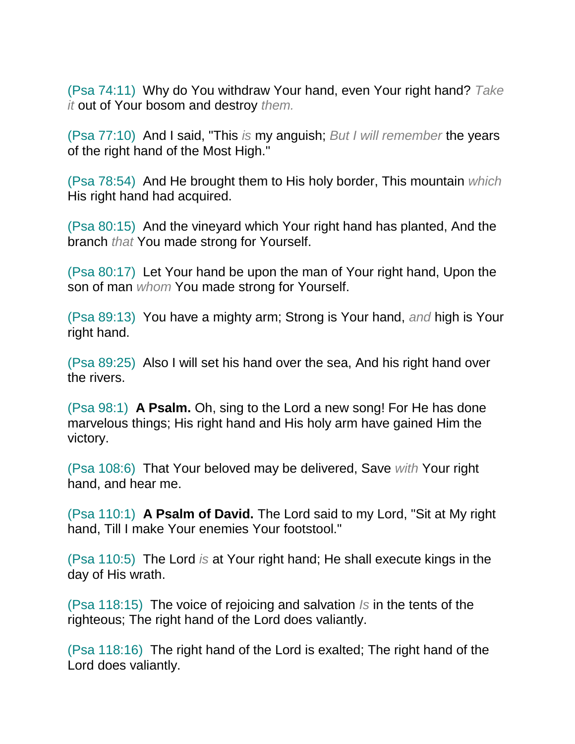(Psa 74:11) Why do You withdraw Your hand, even Your right hand? *Take it* out of Your bosom and destroy *them.*

(Psa 77:10) And I said, "This *is* my anguish; *But I will remember* the years of the right hand of the Most High."

(Psa 78:54) And He brought them to His holy border, This mountain *which* His right hand had acquired.

(Psa 80:15) And the vineyard which Your right hand has planted, And the branch *that* You made strong for Yourself.

(Psa 80:17) Let Your hand be upon the man of Your right hand, Upon the son of man *whom* You made strong for Yourself.

(Psa 89:13) You have a mighty arm; Strong is Your hand, *and* high is Your right hand.

(Psa 89:25) Also I will set his hand over the sea, And his right hand over the rivers.

(Psa 98:1) **A Psalm.** Oh, sing to the Lord a new song! For He has done marvelous things; His right hand and His holy arm have gained Him the victory.

(Psa 108:6) That Your beloved may be delivered, Save *with* Your right hand, and hear me.

(Psa 110:1) **A Psalm of David.** The Lord said to my Lord, "Sit at My right hand, Till I make Your enemies Your footstool."

(Psa 110:5) The Lord *is* at Your right hand; He shall execute kings in the day of His wrath.

(Psa 118:15) The voice of rejoicing and salvation *Is* in the tents of the righteous; The right hand of the Lord does valiantly.

(Psa 118:16) The right hand of the Lord is exalted; The right hand of the Lord does valiantly.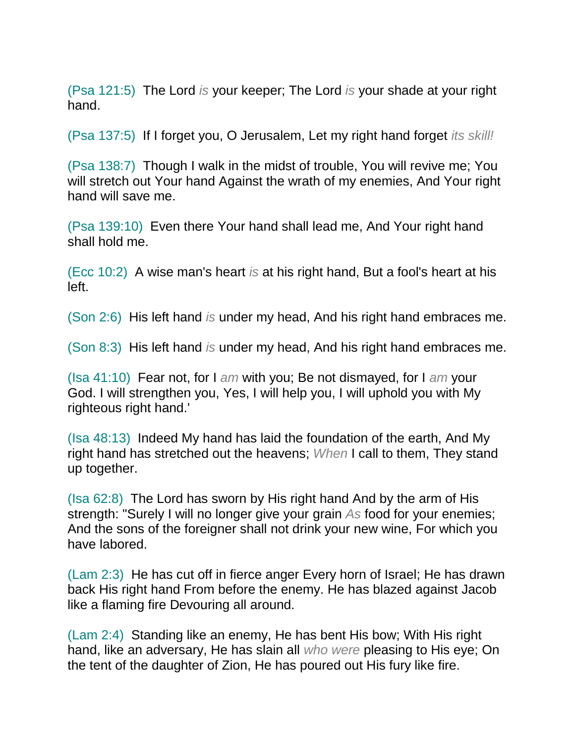(Psa 121:5) The Lord *is* your keeper; The Lord *is* your shade at your right hand.

(Psa 137:5) If I forget you, O Jerusalem, Let my right hand forget *its skill!*

(Psa 138:7) Though I walk in the midst of trouble, You will revive me; You will stretch out Your hand Against the wrath of my enemies, And Your right hand will save me.

(Psa 139:10) Even there Your hand shall lead me, And Your right hand shall hold me.

(Ecc 10:2) A wise man's heart *is* at his right hand, But a fool's heart at his left.

(Son 2:6) His left hand *is* under my head, And his right hand embraces me.

(Son 8:3) His left hand *is* under my head, And his right hand embraces me.

(Isa 41:10) Fear not, for I *am* with you; Be not dismayed, for I *am* your God. I will strengthen you, Yes, I will help you, I will uphold you with My righteous right hand.'

(Isa 48:13) Indeed My hand has laid the foundation of the earth, And My right hand has stretched out the heavens; *When* I call to them, They stand up together.

(Isa 62:8) The Lord has sworn by His right hand And by the arm of His strength: "Surely I will no longer give your grain *As* food for your enemies; And the sons of the foreigner shall not drink your new wine, For which you have labored.

(Lam 2:3) He has cut off in fierce anger Every horn of Israel; He has drawn back His right hand From before the enemy. He has blazed against Jacob like a flaming fire Devouring all around.

(Lam 2:4) Standing like an enemy, He has bent His bow; With His right hand, like an adversary, He has slain all *who were* pleasing to His eye; On the tent of the daughter of Zion, He has poured out His fury like fire.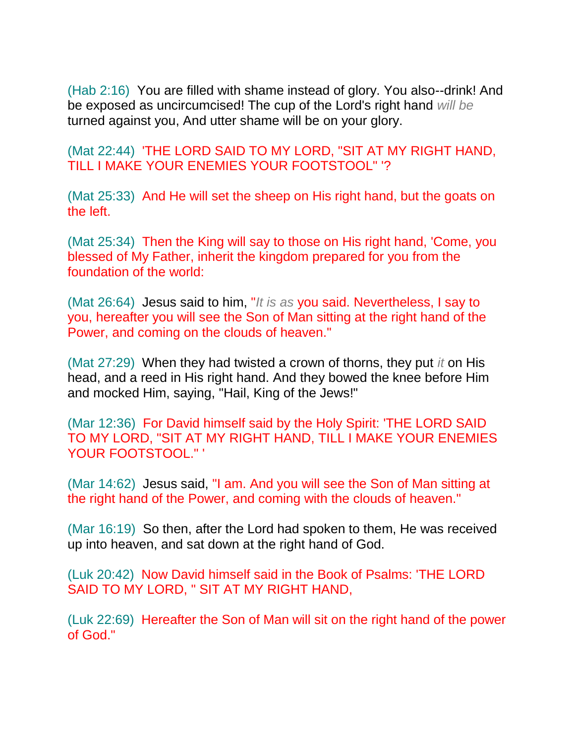(Hab 2:16) You are filled with shame instead of glory. You also--drink! And be exposed as uncircumcised! The cup of the Lord's right hand *will be* turned against you, And utter shame will be on your glory.

(Mat 22:44) 'THE LORD SAID TO MY LORD, "SIT AT MY RIGHT HAND, TILL I MAKE YOUR ENEMIES YOUR FOOTSTOOL" '?

(Mat 25:33) And He will set the sheep on His right hand, but the goats on the left.

(Mat 25:34) Then the King will say to those on His right hand, 'Come, you blessed of My Father, inherit the kingdom prepared for you from the foundation of the world:

(Mat 26:64) Jesus said to him, "*It is as* you said. Nevertheless, I say to you, hereafter you will see the Son of Man sitting at the right hand of the Power, and coming on the clouds of heaven."

(Mat 27:29) When they had twisted a crown of thorns, they put *it* on His head, and a reed in His right hand. And they bowed the knee before Him and mocked Him, saying, "Hail, King of the Jews!"

(Mar 12:36) For David himself said by the Holy Spirit: 'THE LORD SAID TO MY LORD, "SIT AT MY RIGHT HAND, TILL I MAKE YOUR ENEMIES YOUR FOOTSTOOL." '

(Mar 14:62) Jesus said, "I am. And you will see the Son of Man sitting at the right hand of the Power, and coming with the clouds of heaven."

(Mar 16:19) So then, after the Lord had spoken to them, He was received up into heaven, and sat down at the right hand of God.

(Luk 20:42) Now David himself said in the Book of Psalms: 'THE LORD SAID TO MY LORD, " SIT AT MY RIGHT HAND,

(Luk 22:69) Hereafter the Son of Man will sit on the right hand of the power of God."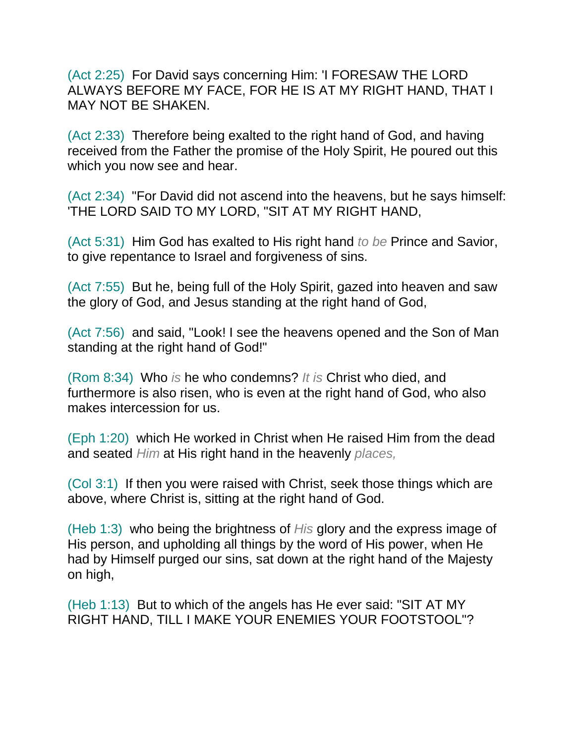(Act 2:25) For David says concerning Him: 'I FORESAW THE LORD ALWAYS BEFORE MY FACE, FOR HE IS AT MY RIGHT HAND, THAT I MAY NOT BE SHAKEN.

(Act 2:33) Therefore being exalted to the right hand of God, and having received from the Father the promise of the Holy Spirit, He poured out this which you now see and hear.

(Act 2:34) "For David did not ascend into the heavens, but he says himself: 'THE LORD SAID TO MY LORD, "SIT AT MY RIGHT HAND,

(Act 5:31) Him God has exalted to His right hand *to be* Prince and Savior, to give repentance to Israel and forgiveness of sins.

(Act 7:55) But he, being full of the Holy Spirit, gazed into heaven and saw the glory of God, and Jesus standing at the right hand of God,

(Act 7:56) and said, "Look! I see the heavens opened and the Son of Man standing at the right hand of God!"

(Rom 8:34) Who *is* he who condemns? *It is* Christ who died, and furthermore is also risen, who is even at the right hand of God, who also makes intercession for us.

(Eph 1:20) which He worked in Christ when He raised Him from the dead and seated *Him* at His right hand in the heavenly *places,*

(Col 3:1) If then you were raised with Christ, seek those things which are above, where Christ is, sitting at the right hand of God.

(Heb 1:3) who being the brightness of *His* glory and the express image of His person, and upholding all things by the word of His power, when He had by Himself purged our sins, sat down at the right hand of the Majesty on high,

(Heb 1:13) But to which of the angels has He ever said: "SIT AT MY RIGHT HAND, TILL I MAKE YOUR ENEMIES YOUR FOOTSTOOL"?